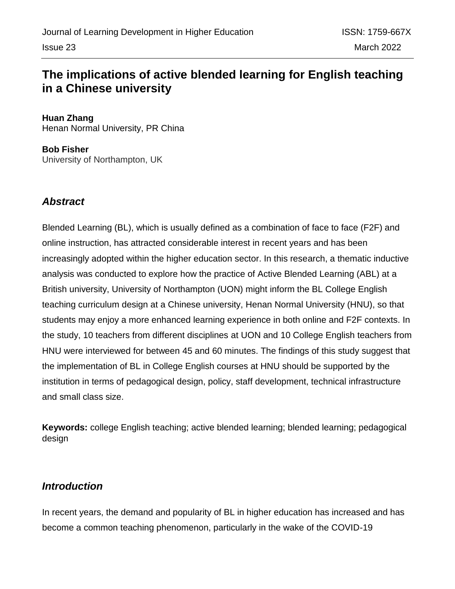# **The implications of active blended learning for English teaching in a Chinese university**

**Huan Zhang**  Henan Normal University, PR China

**Bob Fisher** University of Northampton, UK

## *Abstract*

Blended Learning (BL), which is usually defined as a combination of face to face (F2F) and online instruction, has attracted considerable interest in recent years and has been increasingly adopted within the higher education sector. In this research, a thematic inductive analysis was conducted to explore how the practice of Active Blended Learning (ABL) at a British university, University of Northampton (UON) might inform the BL College English teaching curriculum design at a Chinese university, Henan Normal University (HNU), so that students may enjoy a more enhanced learning experience in both online and F2F contexts. In the study, 10 teachers from different disciplines at UON and 10 College English teachers from HNU were interviewed for between 45 and 60 minutes. The findings of this study suggest that the implementation of BL in College English courses at HNU should be supported by the institution in terms of pedagogical design, policy, staff development, technical infrastructure and small class size.

**Keywords:** college English teaching; active blended learning; blended learning; pedagogical design

## *Introduction*

In recent years, the demand and popularity of BL in higher education has increased and has become a common teaching phenomenon, particularly in the wake of the COVID-19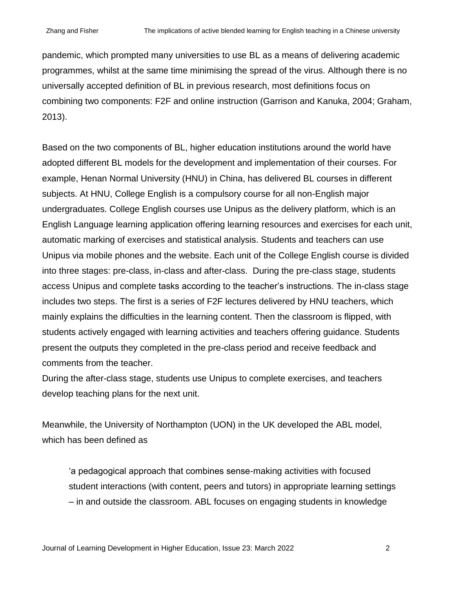pandemic, which prompted many universities to use BL as a means of delivering academic programmes, whilst at the same time minimising the spread of the virus. Although there is no universally accepted definition of BL in previous research, most definitions focus on combining two components: F2F and online instruction (Garrison and Kanuka, 2004; Graham, 2013).

Based on the two components of BL, higher education institutions around the world have adopted different BL models for the development and implementation of their courses. For example, Henan Normal University (HNU) in China, has delivered BL courses in different subjects. At HNU, College English is a compulsory course for all non-English major undergraduates. College English courses use Unipus as the delivery platform, which is an English Language learning application offering learning resources and exercises for each unit, automatic marking of exercises and statistical analysis. Students and teachers can use Unipus via mobile phones and the website. Each unit of the College English course is divided into three stages: pre-class, in-class and after-class. During the pre-class stage, students access Unipus and complete tasks according to the teacher's instructions. The in-class stage includes two steps. The first is a series of F2F lectures delivered by HNU teachers, which mainly explains the difficulties in the learning content. Then the classroom is flipped, with students actively engaged with learning activities and teachers offering guidance. Students present the outputs they completed in the pre-class period and receive feedback and comments from the teacher.

During the after-class stage, students use Unipus to complete exercises, and teachers develop teaching plans for the next unit.

Meanwhile, the University of Northampton (UON) in the UK developed the ABL model, which has been defined as

'a pedagogical approach that combines sense-making activities with focused student interactions (with content, peers and tutors) in appropriate learning settings – in and outside the classroom. ABL focuses on engaging students in knowledge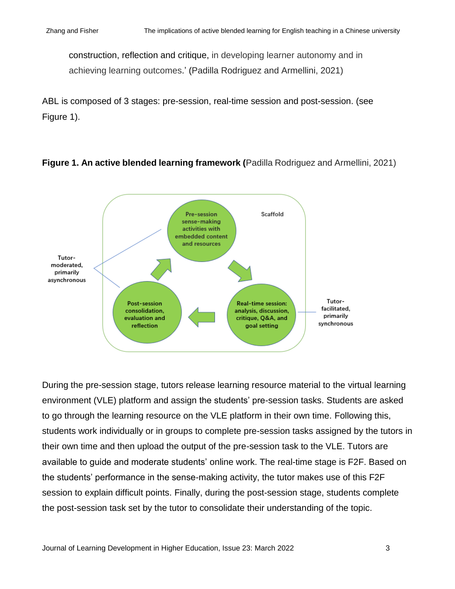construction, reflection and critique, in developing learner autonomy and in achieving learning outcomes.' (Padilla Rodriguez and Armellini, 2021)

ABL is composed of 3 stages: pre-session, real-time session and post-session. (see Figure 1).

### **Figure 1. An active blended learning framework (**Padilla Rodriguez and Armellini, 2021)



During the pre-session stage, tutors release learning resource material to the virtual learning environment (VLE) platform and assign the students' pre-session tasks. Students are asked to go through the learning resource on the VLE platform in their own time. Following this, students work individually or in groups to complete pre-session tasks assigned by the tutors in their own time and then upload the output of the pre-session task to the VLE. Tutors are available to guide and moderate students' online work. The real-time stage is F2F. Based on the students' performance in the sense-making activity, the tutor makes use of this F2F session to explain difficult points. Finally, during the post-session stage, students complete the post-session task set by the tutor to consolidate their understanding of the topic.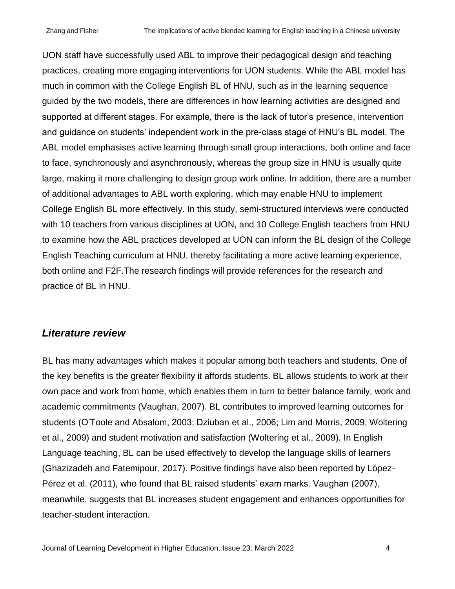UON staff have successfully used ABL to improve their pedagogical design and teaching practices, creating more engaging interventions for UON students. While the ABL model has much in common with the College English BL of HNU, such as in the learning sequence guided by the two models, there are differences in how learning activities are designed and supported at different stages. For example, there is the lack of tutor's presence, intervention and guidance on students' independent work in the pre-class stage of HNU's BL model. The ABL model emphasises active learning through small group interactions, both online and face to face, synchronously and asynchronously, whereas the group size in HNU is usually quite large, making it more challenging to design group work online. In addition, there are a number of additional advantages to ABL worth exploring, which may enable HNU to implement College English BL more effectively. In this study, semi-structured interviews were conducted with 10 teachers from various disciplines at UON, and 10 College English teachers from HNU to examine how the ABL practices developed at UON can inform the BL design of the College English Teaching curriculum at HNU, thereby facilitating a more active learning experience, both online and F2F.The research findings will provide references for the research and practice of BL in HNU.

### *Literature review*

BL has many advantages which makes it popular among both teachers and students. One of the key benefits is the greater flexibility it affords students. BL allows students to work at their own pace and work from home, which enables them in turn to better balance family, work and academic commitments (Vaughan, 2007). BL contributes to improved learning outcomes for students (O'Toole and Absalom, 2003; Dziuban et al., 2006; Lim and Morris, 2009, Woltering et al., 2009) and student motivation and satisfaction (Woltering et al., 2009). In English Language teaching, BL can be used effectively to develop the language skills of learners (Ghazizadeh and Fatemipour, 2017). Positive findings have also been reported by López-Pérez et al. (2011), who found that BL raised students' exam marks. Vaughan (2007), meanwhile, suggests that BL increases student engagement and enhances opportunities for teacher-student interaction.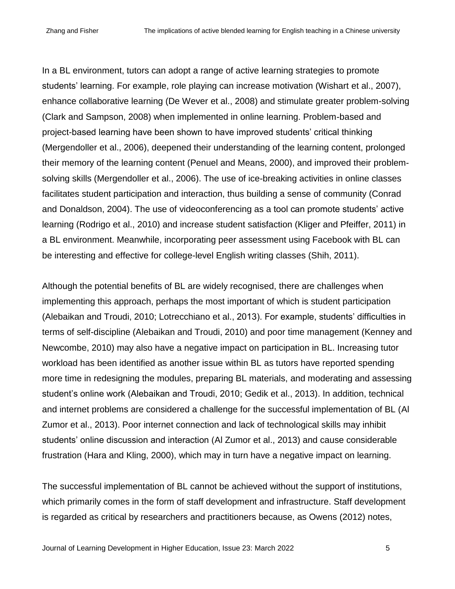In a BL environment, tutors can adopt a range of active learning strategies to promote students' learning. For example, role playing can increase motivation (Wishart et al., 2007), enhance collaborative learning (De Wever et al., 2008) and stimulate greater problem-solving (Clark and Sampson, 2008) when implemented in online learning. Problem-based and project-based learning have been shown to have improved students' critical thinking (Mergendoller et al., 2006), deepened their understanding of the learning content, prolonged their memory of the learning content (Penuel and Means, 2000), and improved their problemsolving skills (Mergendoller et al., 2006). The use of ice-breaking activities in online classes facilitates student participation and interaction, thus building a sense of community (Conrad and Donaldson, 2004). The use of videoconferencing as a tool can promote students' active learning (Rodrigo et al., 2010) and increase student satisfaction (Kliger and Pfeiffer, 2011) in a BL environment. Meanwhile, incorporating peer assessment using Facebook with BL can be interesting and effective for college-level English writing classes (Shih, 2011).

Although the potential benefits of BL are widely recognised, there are challenges when implementing this approach, perhaps the most important of which is student participation (Alebaikan and Troudi, 2010; Lotrecchiano et al., 2013). For example, students' difficulties in terms of self-discipline (Alebaikan and Troudi, 2010) and poor time management (Kenney and Newcombe, 2010) may also have a negative impact on participation in BL. Increasing tutor workload has been identified as another issue within BL as tutors have reported spending more time in redesigning the modules, preparing BL materials, and moderating and assessing student's online work (Alebaikan and Troudi, 2010; Gedik et al., 2013). In addition, technical and internet problems are considered a challenge for the successful implementation of BL (Al Zumor et al., 2013). Poor internet connection and lack of technological skills may inhibit students' online discussion and interaction (Al Zumor et al., 2013) and cause considerable frustration (Hara and Kling, 2000), which may in turn have a negative impact on learning.

The successful implementation of BL cannot be achieved without the support of institutions, which primarily comes in the form of staff development and infrastructure. Staff development is regarded as critical by researchers and practitioners because, as Owens (2012) notes,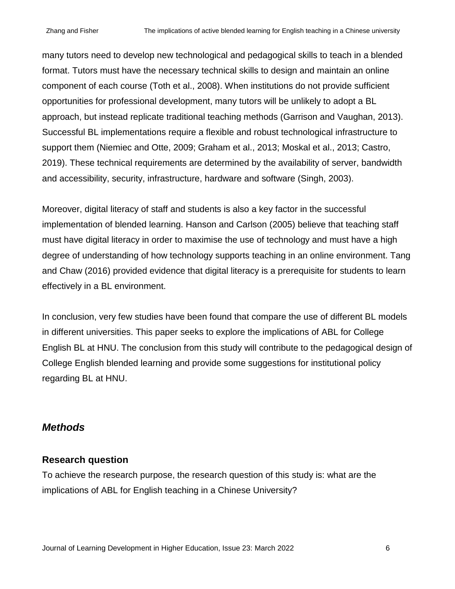many tutors need to develop new technological and pedagogical skills to teach in a blended format. Tutors must have the necessary technical skills to design and maintain an online component of each course (Toth et al., 2008). When institutions do not provide sufficient opportunities for professional development, many tutors will be unlikely to adopt a BL approach, but instead replicate traditional teaching methods (Garrison and Vaughan, 2013). Successful BL implementations require a flexible and robust technological infrastructure to support them (Niemiec and Otte, 2009; Graham et al., 2013; Moskal et al., 2013; Castro, 2019). These technical requirements are determined by the availability of server, bandwidth and accessibility, security, infrastructure, hardware and software (Singh, 2003).

Moreover, digital literacy of staff and students is also a key factor in the successful implementation of blended learning. Hanson and Carlson (2005) believe that teaching staff must have digital literacy in order to maximise the use of technology and must have a high degree of understanding of how technology supports teaching in an online environment. Tang and Chaw (2016) provided evidence that digital literacy is a prerequisite for students to learn effectively in a BL environment.

In conclusion, very few studies have been found that compare the use of different BL models in different universities. This paper seeks to explore the implications of ABL for College English BL at HNU. The conclusion from this study will contribute to the pedagogical design of College English blended learning and provide some suggestions for institutional policy regarding BL at HNU.

## *Methods*

### **Research question**

To achieve the research purpose, the research question of this study is: what are the implications of ABL for English teaching in a Chinese University?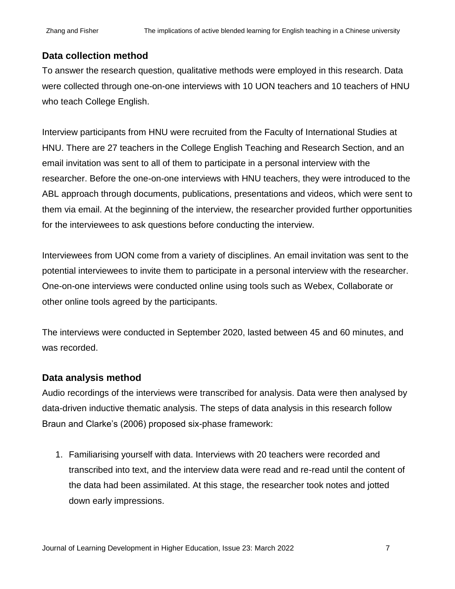### **Data collection method**

To answer the research question, qualitative methods were employed in this research. Data were collected through one-on-one interviews with 10 UON teachers and 10 teachers of HNU who teach College English.

Interview participants from HNU were recruited from the Faculty of International Studies at HNU. There are 27 teachers in the College English Teaching and Research Section, and an email invitation was sent to all of them to participate in a personal interview with the researcher. Before the one-on-one interviews with HNU teachers, they were introduced to the ABL approach through documents, publications, presentations and videos, which were sent to them via email. At the beginning of the interview, the researcher provided further opportunities for the interviewees to ask questions before conducting the interview.

Interviewees from UON come from a variety of disciplines. An email invitation was sent to the potential interviewees to invite them to participate in a personal interview with the researcher. One-on-one interviews were conducted online using tools such as Webex, Collaborate or other online tools agreed by the participants.

The interviews were conducted in September 2020, lasted between 45 and 60 minutes, and was recorded.

### **Data analysis method**

Audio recordings of the interviews were transcribed for analysis. Data were then analysed by data-driven inductive thematic analysis. The steps of data analysis in this research follow Braun and Clarke's (2006) proposed six-phase framework:

1. Familiarising yourself with data. Interviews with 20 teachers were recorded and transcribed into text, and the interview data were read and re-read until the content of the data had been assimilated. At this stage, the researcher took notes and jotted down early impressions.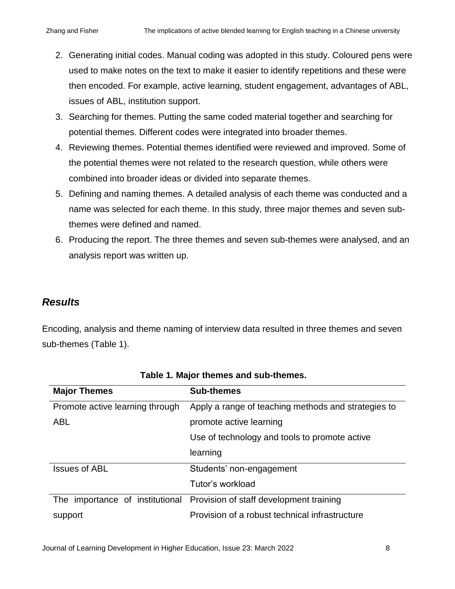- 2. Generating initial codes. Manual coding was adopted in this study. Coloured pens were used to make notes on the text to make it easier to identify repetitions and these were then encoded. For example, active learning, student engagement, advantages of ABL, issues of ABL, institution support.
- 3. Searching for themes. Putting the same coded material together and searching for potential themes. Different codes were integrated into broader themes.
- 4. Reviewing themes. Potential themes identified were reviewed and improved. Some of the potential themes were not related to the research question, while others were combined into broader ideas or divided into separate themes.
- 5. Defining and naming themes. A detailed analysis of each theme was conducted and a name was selected for each theme. In this study, three major themes and seven subthemes were defined and named.
- 6. Producing the report. The three themes and seven sub-themes were analysed, and an analysis report was written up.

## *Results*

Encoding, analysis and theme naming of interview data resulted in three themes and seven sub-themes (Table 1).

| <b>Major Themes</b>             | <b>Sub-themes</b>                                   |  |  |
|---------------------------------|-----------------------------------------------------|--|--|
| Promote active learning through | Apply a range of teaching methods and strategies to |  |  |
| <b>ABL</b>                      | promote active learning                             |  |  |
|                                 | Use of technology and tools to promote active       |  |  |
|                                 | learning                                            |  |  |
| <b>Issues of ABL</b>            | Students' non-engagement                            |  |  |
|                                 | Tutor's workload                                    |  |  |
| The importance of institutional | Provision of staff development training             |  |  |
| support                         | Provision of a robust technical infrastructure      |  |  |

|  |  |  |  | Table 1. Major themes and sub-themes. |
|--|--|--|--|---------------------------------------|
|--|--|--|--|---------------------------------------|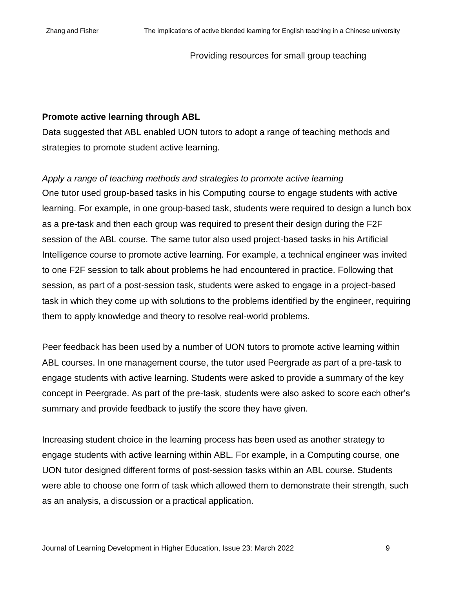### Providing resources for small group teaching

#### **Promote active learning through ABL**

Data suggested that ABL enabled UON tutors to adopt a range of teaching methods and strategies to promote student active learning.

*Apply a range of teaching methods and strategies to promote active learning* One tutor used group-based tasks in his Computing course to engage students with active learning. For example, in one group-based task, students were required to design a lunch box as a pre-task and then each group was required to present their design during the F2F session of the ABL course. The same tutor also used project-based tasks in his Artificial Intelligence course to promote active learning. For example, a technical engineer was invited to one F2F session to talk about problems he had encountered in practice. Following that session, as part of a post-session task, students were asked to engage in a project-based task in which they come up with solutions to the problems identified by the engineer, requiring them to apply knowledge and theory to resolve real-world problems.

Peer feedback has been used by a number of UON tutors to promote active learning within ABL courses. In one management course, the tutor used Peergrade as part of a pre-task to engage students with active learning. Students were asked to provide a summary of the key concept in Peergrade. As part of the pre-task, students were also asked to score each other's summary and provide feedback to justify the score they have given.

Increasing student choice in the learning process has been used as another strategy to engage students with active learning within ABL. For example, in a Computing course, one UON tutor designed different forms of post-session tasks within an ABL course. Students were able to choose one form of task which allowed them to demonstrate their strength, such as an analysis, a discussion or a practical application.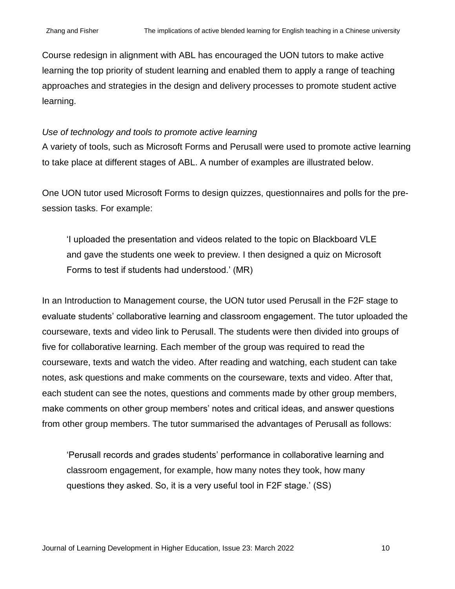Course redesign in alignment with ABL has encouraged the UON tutors to make active learning the top priority of student learning and enabled them to apply a range of teaching approaches and strategies in the design and delivery processes to promote student active learning.

#### *Use of technology and tools to promote active learning*

A variety of tools, such as Microsoft Forms and Perusall were used to promote active learning to take place at different stages of ABL. A number of examples are illustrated below.

One UON tutor used Microsoft Forms to design quizzes, questionnaires and polls for the presession tasks. For example:

'I uploaded the presentation and videos related to the topic on Blackboard VLE and gave the students one week to preview. I then designed a quiz on Microsoft Forms to test if students had understood.' (MR)

In an Introduction to Management course, the UON tutor used Perusall in the F2F stage to evaluate students' collaborative learning and classroom engagement. The tutor uploaded the courseware, texts and video link to Perusall. The students were then divided into groups of five for collaborative learning. Each member of the group was required to read the courseware, texts and watch the video. After reading and watching, each student can take notes, ask questions and make comments on the courseware, texts and video. After that, each student can see the notes, questions and comments made by other group members, make comments on other group members' notes and critical ideas, and answer questions from other group members. The tutor summarised the advantages of Perusall as follows:

'Perusall records and grades students' performance in collaborative learning and classroom engagement, for example, how many notes they took, how many questions they asked. So, it is a very useful tool in F2F stage.' (SS)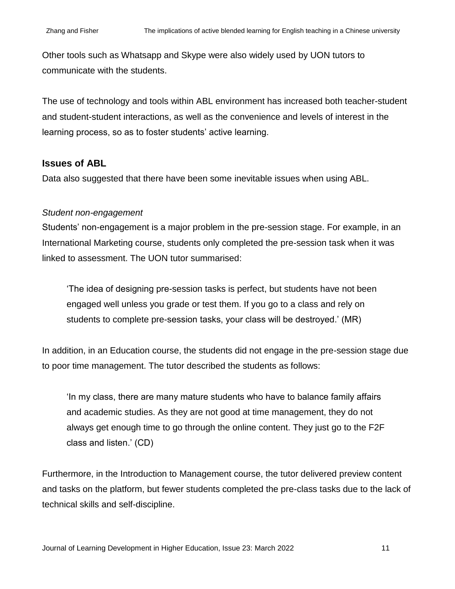Other tools such as Whatsapp and Skype were also widely used by UON tutors to communicate with the students.

The use of technology and tools within ABL environment has increased both teacher-student and student-student interactions, as well as the convenience and levels of interest in the learning process, so as to foster students' active learning.

#### **Issues of ABL**

Data also suggested that there have been some inevitable issues when using ABL.

#### *Student non-engagement*

Students' non-engagement is a major problem in the pre-session stage. For example, in an International Marketing course, students only completed the pre-session task when it was linked to assessment. The UON tutor summarised:

'The idea of designing pre-session tasks is perfect, but students have not been engaged well unless you grade or test them. If you go to a class and rely on students to complete pre-session tasks, your class will be destroyed.' (MR)

In addition, in an Education course, the students did not engage in the pre-session stage due to poor time management. The tutor described the students as follows:

'In my class, there are many mature students who have to balance family affairs and academic studies. As they are not good at time management, they do not always get enough time to go through the online content. They just go to the F2F class and listen.' (CD)

Furthermore, in the Introduction to Management course, the tutor delivered preview content and tasks on the platform, but fewer students completed the pre-class tasks due to the lack of technical skills and self-discipline.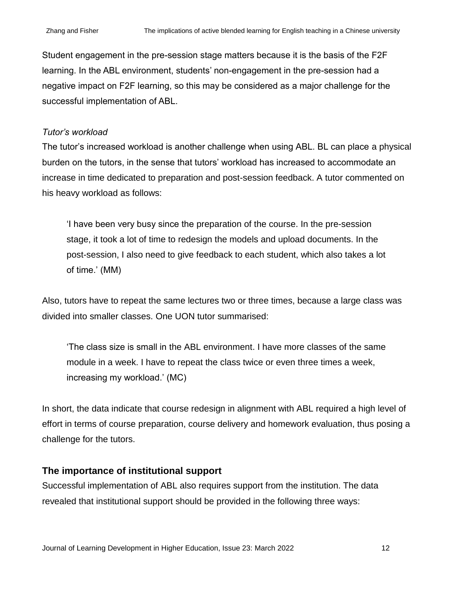Student engagement in the pre-session stage matters because it is the basis of the F2F learning. In the ABL environment, students' non-engagement in the pre-session had a negative impact on F2F learning, so this may be considered as a major challenge for the successful implementation of ABL.

### *Tutor's workload*

The tutor's increased workload is another challenge when using ABL. BL can place a physical burden on the tutors, in the sense that tutors' workload has increased to accommodate an increase in time dedicated to preparation and post-session feedback. A tutor commented on his heavy workload as follows:

'I have been very busy since the preparation of the course. In the pre-session stage, it took a lot of time to redesign the models and upload documents. In the post-session, I also need to give feedback to each student, which also takes a lot of time.' (MM)

Also, tutors have to repeat the same lectures two or three times, because a large class was divided into smaller classes. One UON tutor summarised:

'The class size is small in the ABL environment. I have more classes of the same module in a week. I have to repeat the class twice or even three times a week, increasing my workload.' (MC)

In short, the data indicate that course redesign in alignment with ABL required a high level of effort in terms of course preparation, course delivery and homework evaluation, thus posing a challenge for the tutors.

## **The importance of institutional support**

Successful implementation of ABL also requires support from the institution. The data revealed that institutional support should be provided in the following three ways: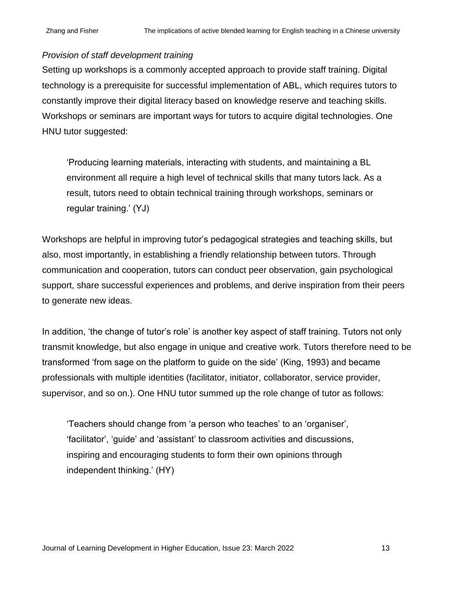### *Provision of staff development training*

Setting up workshops is a commonly accepted approach to provide staff training. Digital technology is a prerequisite for successful implementation of ABL, which requires tutors to constantly improve their digital literacy based on knowledge reserve and teaching skills. Workshops or seminars are important ways for tutors to acquire digital technologies. One HNU tutor suggested:

'Producing learning materials, interacting with students, and maintaining a BL environment all require a high level of technical skills that many tutors lack. As a result, tutors need to obtain technical training through workshops, seminars or regular training.' (YJ)

Workshops are helpful in improving tutor's pedagogical strategies and teaching skills, but also, most importantly, in establishing a friendly relationship between tutors. Through communication and cooperation, tutors can conduct peer observation, gain psychological support, share successful experiences and problems, and derive inspiration from their peers to generate new ideas.

In addition, 'the change of tutor's role' is another key aspect of staff training. Tutors not only transmit knowledge, but also engage in unique and creative work. Tutors therefore need to be transformed 'from sage on the platform to guide on the side' (King, 1993) and became professionals with multiple identities (facilitator, initiator, collaborator, service provider, supervisor, and so on.). One HNU tutor summed up the role change of tutor as follows:

'Teachers should change from 'a person who teaches' to an 'organiser', 'facilitator', 'guide' and 'assistant' to classroom activities and discussions, inspiring and encouraging students to form their own opinions through independent thinking.' (HY)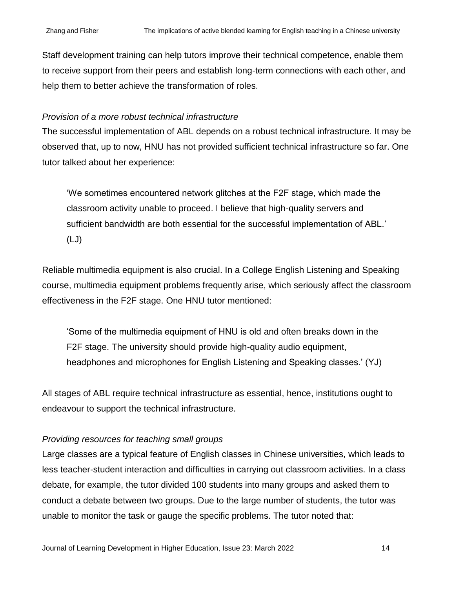Staff development training can help tutors improve their technical competence, enable them to receive support from their peers and establish long-term connections with each other, and help them to better achieve the transformation of roles.

### *Provision of a more robust technical infrastructure*

The successful implementation of ABL depends on a robust technical infrastructure. It may be observed that, up to now, HNU has not provided sufficient technical infrastructure so far. One tutor talked about her experience:

'We sometimes encountered network glitches at the F2F stage, which made the classroom activity unable to proceed. I believe that high-quality servers and sufficient bandwidth are both essential for the successful implementation of ABL.' (LJ)

Reliable multimedia equipment is also crucial. In a College English Listening and Speaking course, multimedia equipment problems frequently arise, which seriously affect the classroom effectiveness in the F2F stage. One HNU tutor mentioned:

'Some of the multimedia equipment of HNU is old and often breaks down in the F2F stage. The university should provide high-quality audio equipment, headphones and microphones for English Listening and Speaking classes.' (YJ)

All stages of ABL require technical infrastructure as essential, hence, institutions ought to endeavour to support the technical infrastructure.

### *Providing resources for teaching small groups*

Large classes are a typical feature of English classes in Chinese universities, which leads to less teacher-student interaction and difficulties in carrying out classroom activities. In a class debate, for example, the tutor divided 100 students into many groups and asked them to conduct a debate between two groups. Due to the large number of students, the tutor was unable to monitor the task or gauge the specific problems. The tutor noted that: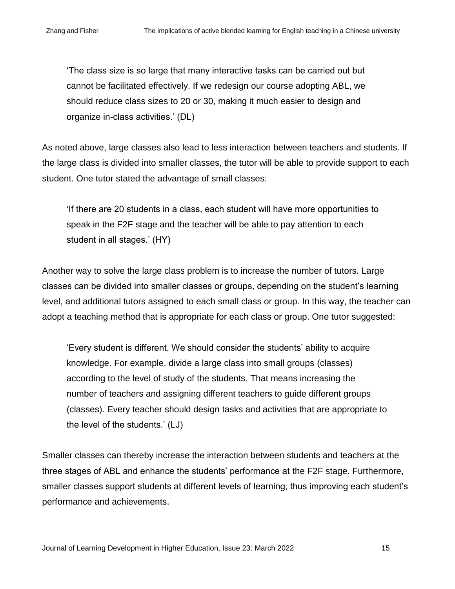'The class size is so large that many interactive tasks can be carried out but cannot be facilitated effectively. If we redesign our course adopting ABL, we should reduce class sizes to 20 or 30, making it much easier to design and organize in-class activities.' (DL)

As noted above, large classes also lead to less interaction between teachers and students. If the large class is divided into smaller classes, the tutor will be able to provide support to each student. One tutor stated the advantage of small classes:

'If there are 20 students in a class, each student will have more opportunities to speak in the F2F stage and the teacher will be able to pay attention to each student in all stages.' (HY)

Another way to solve the large class problem is to increase the number of tutors. Large classes can be divided into smaller classes or groups, depending on the student's learning level, and additional tutors assigned to each small class or group. In this way, the teacher can adopt a teaching method that is appropriate for each class or group. One tutor suggested:

'Every student is different. We should consider the students' ability to acquire knowledge. For example, divide a large class into small groups (classes) according to the level of study of the students. That means increasing the number of teachers and assigning different teachers to guide different groups (classes). Every teacher should design tasks and activities that are appropriate to the level of the students.' (LJ)

Smaller classes can thereby increase the interaction between students and teachers at the three stages of ABL and enhance the students' performance at the F2F stage. Furthermore, smaller classes support students at different levels of learning, thus improving each student's performance and achievements.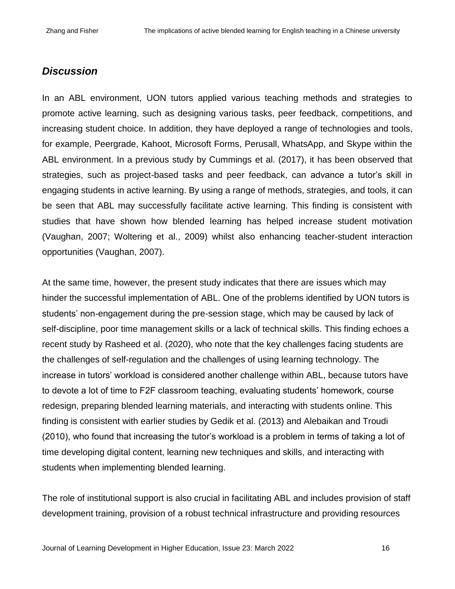## *Discussion*

In an ABL environment, UON tutors applied various teaching methods and strategies to promote active learning, such as designing various tasks, peer feedback, competitions, and increasing student choice. In addition, they have deployed a range of technologies and tools, for example, Peergrade, Kahoot, Microsoft Forms, Perusall, WhatsApp, and Skype within the ABL environment. In a previous study by Cummings et al. (2017), it has been observed that strategies, such as project-based tasks and peer feedback, can advance a tutor's skill in engaging students in active learning. By using a range of methods, strategies, and tools, it can be seen that ABL may successfully facilitate active learning. This finding is consistent with studies that have shown how blended learning has helped increase student motivation (Vaughan, 2007; Woltering et al., 2009) whilst also enhancing teacher-student interaction opportunities (Vaughan, 2007).

At the same time, however, the present study indicates that there are issues which may hinder the successful implementation of ABL. One of the problems identified by UON tutors is students' non-engagement during the pre-session stage, which may be caused by lack of self-discipline, poor time management skills or a lack of technical skills. This finding echoes a recent study by Rasheed et al. (2020), who note that the key challenges facing students are the challenges of self-regulation and the challenges of using learning technology. The increase in tutors' workload is considered another challenge within ABL, because tutors have to devote a lot of time to F2F classroom teaching, evaluating students' homework, course redesign, preparing blended learning materials, and interacting with students online. This finding is consistent with earlier studies by Gedik et al. (2013) and Alebaikan and Troudi (2010), who found that increasing the tutor's workload is a problem in terms of taking a lot of time developing digital content, learning new techniques and skills, and interacting with students when implementing blended learning.

The role of institutional support is also crucial in facilitating ABL and includes provision of staff development training, provision of a robust technical infrastructure and providing resources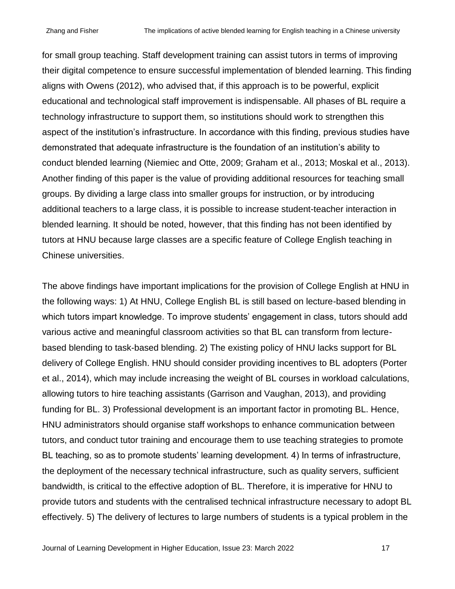for small group teaching. Staff development training can assist tutors in terms of improving their digital competence to ensure successful implementation of blended learning. This finding aligns with Owens (2012), who advised that, if this approach is to be powerful, explicit educational and technological staff improvement is indispensable. All phases of BL require a technology infrastructure to support them, so institutions should work to strengthen this aspect of the institution's infrastructure. In accordance with this finding, previous studies have demonstrated that adequate infrastructure is the foundation of an institution's ability to conduct blended learning (Niemiec and Otte, 2009; Graham et al., 2013; Moskal et al., 2013). Another finding of this paper is the value of providing additional resources for teaching small groups. By dividing a large class into smaller groups for instruction, or by introducing additional teachers to a large class, it is possible to increase student-teacher interaction in blended learning. It should be noted, however, that this finding has not been identified by tutors at HNU because large classes are a specific feature of College English teaching in Chinese universities.

The above findings have important implications for the provision of College English at HNU in the following ways: 1) At HNU, College English BL is still based on lecture-based blending in which tutors impart knowledge. To improve students' engagement in class, tutors should add various active and meaningful classroom activities so that BL can transform from lecturebased blending to task-based blending. 2) The existing policy of HNU lacks support for BL delivery of College English. HNU should consider providing incentives to BL adopters (Porter et al., 2014), which may include increasing the weight of BL courses in workload calculations, allowing tutors to hire teaching assistants (Garrison and Vaughan, 2013), and providing funding for BL. 3) Professional development is an important factor in promoting BL. Hence, HNU administrators should organise staff workshops to enhance communication between tutors, and conduct tutor training and encourage them to use teaching strategies to promote BL teaching, so as to promote students' learning development. 4) In terms of infrastructure, the deployment of the necessary technical infrastructure, such as quality servers, sufficient bandwidth, is critical to the effective adoption of BL. Therefore, it is imperative for HNU to provide tutors and students with the centralised technical infrastructure necessary to adopt BL effectively. 5) The delivery of lectures to large numbers of students is a typical problem in the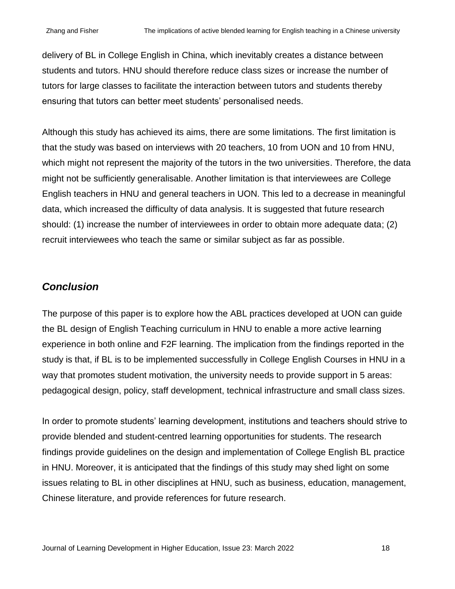delivery of BL in College English in China, which inevitably creates a distance between students and tutors. HNU should therefore reduce class sizes or increase the number of tutors for large classes to facilitate the interaction between tutors and students thereby ensuring that tutors can better meet students' personalised needs.

Although this study has achieved its aims, there are some limitations. The first limitation is that the study was based on interviews with 20 teachers, 10 from UON and 10 from HNU, which might not represent the majority of the tutors in the two universities. Therefore, the data might not be sufficiently generalisable. Another limitation is that interviewees are College English teachers in HNU and general teachers in UON. This led to a decrease in meaningful data, which increased the difficulty of data analysis. It is suggested that future research should: (1) increase the number of interviewees in order to obtain more adequate data; (2) recruit interviewees who teach the same or similar subject as far as possible.

## *Conclusion*

The purpose of this paper is to explore how the ABL practices developed at UON can guide the BL design of English Teaching curriculum in HNU to enable a more active learning experience in both online and F2F learning. The implication from the findings reported in the study is that, if BL is to be implemented successfully in College English Courses in HNU in a way that promotes student motivation, the university needs to provide support in 5 areas: pedagogical design, policy, staff development, technical infrastructure and small class sizes.

In order to promote students' learning development, institutions and teachers should strive to provide blended and student-centred learning opportunities for students. The research findings provide guidelines on the design and implementation of College English BL practice in HNU. Moreover, it is anticipated that the findings of this study may shed light on some issues relating to BL in other disciplines at HNU, such as business, education, management, Chinese literature, and provide references for future research.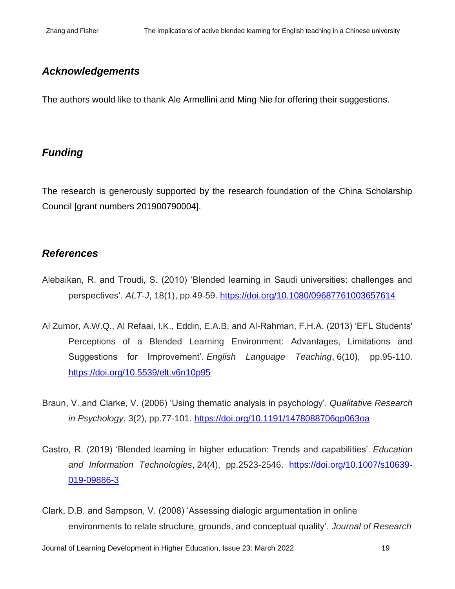## *Acknowledgements*

The authors would like to thank Ale Armellini and Ming Nie for offering their suggestions.

## *Funding*

The research is generously supported by the research foundation of the China Scholarship Council [grant numbers 201900790004].

## *References*

- Alebaikan, R. and Troudi, S. (2010) 'Blended learning in Saudi universities: challenges and perspectives'. *ALT-J*, 18(1), pp.49-59. <https://doi.org/10.1080/09687761003657614>
- Al Zumor, A.W.Q., Al Refaai, I.K., Eddin, E.A.B. and Al-Rahman, F.H.A. (2013) 'EFL Students' Perceptions of a Blended Learning Environment: Advantages, Limitations and Suggestions for Improvement'. *English Language Teaching*, 6(10), pp.95-110. <https://doi.org/10.5539/elt.v6n10p95>
- Braun, V. and Clarke, V. (2006) 'Using thematic analysis in psychology'. *Qualitative Research in Psychology*, 3(2), pp.77-101.<https://doi.org/10.1191/1478088706qp063oa>
- Castro, R. (2019) 'Blended learning in higher education: Trends and capabilities'. *Education and Information Technologies*, 24(4), pp.2523-2546. [https://doi.org/10.1007/s10639-](https://doi.org/10.1007/s10639-019-09886-3) [019-09886-3](https://doi.org/10.1007/s10639-019-09886-3)
- Clark, D.B. and Sampson, V. (2008) 'Assessing dialogic argumentation in online environments to relate structure, grounds, and conceptual quality'. *Journal of Research*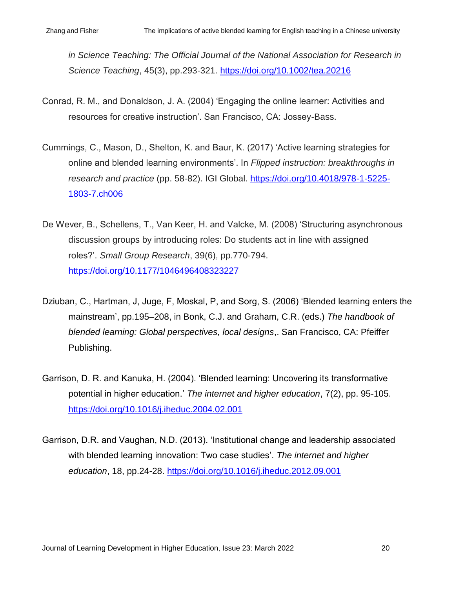*in Science Teaching: The Official Journal of the National Association for Research in Science Teaching*, 45(3), pp.293-321.<https://doi.org/10.1002/tea.20216>

- Conrad, R. M., and Donaldson, J. A. (2004) 'Engaging the online learner: Activities and resources for creative instruction'. San Francisco, CA: Jossey-Bass.
- Cummings, C., Mason, D., Shelton, K. and Baur, K. (2017) 'Active learning strategies for online and blended learning environments'. In *Flipped instruction: breakthroughs in research and practice* (pp. 58-82). IGI Global. [https://doi.org/10.4018/978-1-5225-](https://doi.org/10.4018/978-1-5225-1803-7.ch006) [1803-7.ch006](https://doi.org/10.4018/978-1-5225-1803-7.ch006)
- De Wever, B., Schellens, T., Van Keer, H. and Valcke, M. (2008) 'Structuring asynchronous discussion groups by introducing roles: Do students act in line with assigned roles?'. *Small Group Research*, 39(6), pp.770-794. <https://doi.org/10.1177/1046496408323227>
- Dziuban, C., Hartman, J, Juge, F, Moskal, P, and Sorg, S. (2006) 'Blended learning enters the mainstream', pp.195–208, in Bonk, C.J. and Graham, C.R. (eds.) *The handbook of blended learning: Global perspectives, local designs*,. San Francisco, CA: Pfeiffer Publishing.
- Garrison, D. R. and Kanuka, H. (2004). 'Blended learning: Uncovering its transformative potential in higher education.' *The internet and higher education*, 7(2), pp. 95-105. <https://doi.org/10.1016/j.iheduc.2004.02.001>
- Garrison, D.R. and Vaughan, N.D. (2013). 'Institutional change and leadership associated with blended learning innovation: Two case studies'. *The internet and higher education*, 18, pp.24-28.<https://doi.org/10.1016/j.iheduc.2012.09.001>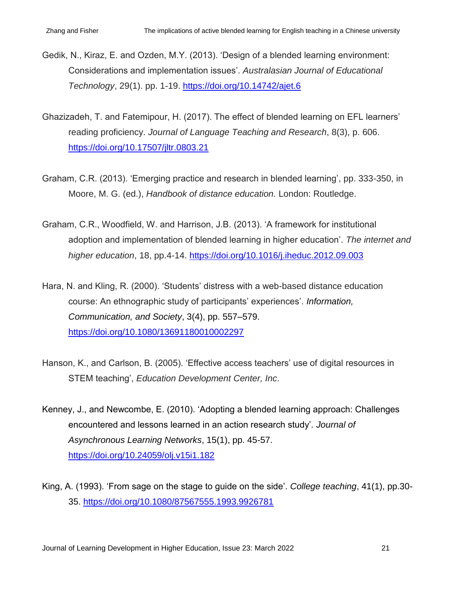- Gedik, N., Kiraz, E. and Ozden, M.Y. (2013). 'Design of a blended learning environment: Considerations and implementation issues'. *Australasian Journal of Educational Technology*, 29(1). pp. 1-19.<https://doi.org/10.14742/ajet.6>
- Ghazizadeh, T. and Fatemipour, H. (2017). The effect of blended learning on EFL learners' reading proficiency. *Journal of Language Teaching and Research*, 8(3), p. 606. <https://doi.org/10.17507/jltr.0803.21>
- Graham, C.R. (2013). 'Emerging practice and research in blended learning', pp. 333-350, in Moore, M. G. (ed.), *Handbook of distance education.* London: Routledge.
- Graham, C.R., Woodfield, W. and Harrison, J.B. (2013). 'A framework for institutional adoption and implementation of blended learning in higher education'. *The internet and higher education*, 18, pp.4-14.<https://doi.org/10.1016/j.iheduc.2012.09.003>
- Hara, N. and Kling, R. (2000). 'Students' distress with a web-based distance education course: An ethnographic study of participants' experiences'. *Information, Communication, and Society*, 3(4), pp. 557–579. <https://doi.org/10.1080/13691180010002297>
- Hanson, K., and Carlson, B. (2005). 'Effective access teachers' use of digital resources in STEM teaching', *Education Development Center, Inc*.
- Kenney, J., and Newcombe, E. (2010). 'Adopting a blended learning approach: Challenges encountered and lessons learned in an action research study'. *Journal of Asynchronous Learning Networks*, 15(1), pp. 45-57. <https://doi.org/10.24059/olj.v15i1.182>
- King, A. (1993). 'From sage on the stage to guide on the side'. *College teaching*, 41(1), pp.30- 35.<https://doi.org/10.1080/87567555.1993.9926781>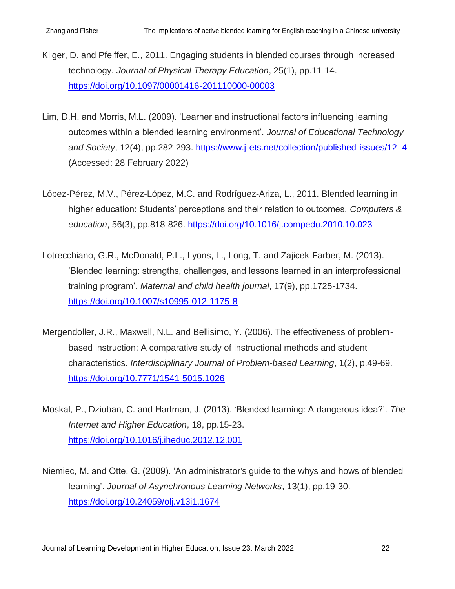- Kliger, D. and Pfeiffer, E., 2011. Engaging students in blended courses through increased technology. *Journal of Physical Therapy Education*, 25(1), pp.11-14. <https://doi.org/10.1097/00001416-201110000-00003>
- Lim, D.H. and Morris, M.L. (2009). 'Learner and instructional factors influencing learning outcomes within a blended learning environment'. *Journal of Educational Technology and Society*, 12(4), pp.282-293. [https://www.j-ets.net/collection/published-issues/12\\_4](https://www.j-ets.net/collection/published-issues/12_4) (Accessed: 28 February 2022)
- López-Pérez, M.V., Pérez-López, M.C. and Rodríguez-Ariza, L., 2011. Blended learning in higher education: Students' perceptions and their relation to outcomes. *Computers & education*, 56(3), pp.818-826. <https://doi.org/10.1016/j.compedu.2010.10.023>
- Lotrecchiano, G.R., McDonald, P.L., Lyons, L., Long, T. and Zajicek-Farber, M. (2013). 'Blended learning: strengths, challenges, and lessons learned in an interprofessional training program'. *Maternal and child health journal*, 17(9), pp.1725-1734. <https://doi.org/10.1007/s10995-012-1175-8>
- Mergendoller, J.R., Maxwell, N.L. and Bellisimo, Y. (2006). The effectiveness of problembased instruction: A comparative study of instructional methods and student characteristics. *Interdisciplinary Journal of Problem-based Learning*, 1(2), p.49-69. <https://doi.org/10.7771/1541-5015.1026>
- Moskal, P., Dziuban, C. and Hartman, J. (2013). 'Blended learning: A dangerous idea?'. *The Internet and Higher Education*, 18, pp.15-23. <https://doi.org/10.1016/j.iheduc.2012.12.001>
- Niemiec, M. and Otte, G. (2009). 'An administrator's guide to the whys and hows of blended learning'. *Journal of Asynchronous Learning Networks*, 13(1), pp.19-30. <https://doi.org/10.24059/olj.v13i1.1674>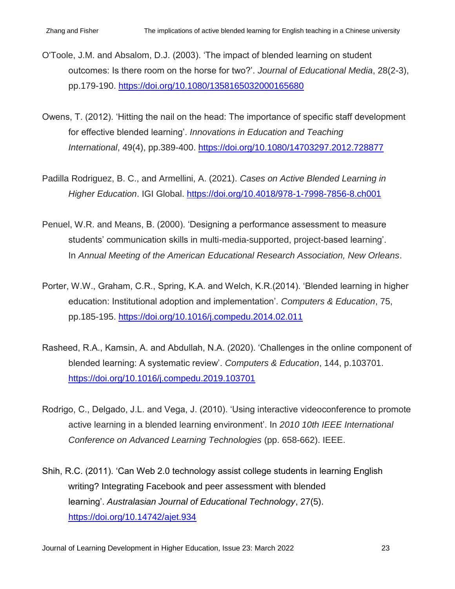- O'Toole, J.M. and Absalom, D.J. (2003). 'The impact of blended learning on student outcomes: Is there room on the horse for two?'. *Journal of Educational Media*, 28(2-3), pp.179-190.<https://doi.org/10.1080/1358165032000165680>
- Owens, T. (2012). 'Hitting the nail on the head: The importance of specific staff development for effective blended learning'. *Innovations in Education and Teaching International*, 49(4), pp.389-400. <https://doi.org/10.1080/14703297.2012.728877>
- Padilla Rodriguez, B. C., and Armellini, A. (2021). *Cases on Active Blended Learning in Higher Education*. IGI Global. <https://doi.org/10.4018/978-1-7998-7856-8.ch001>
- Penuel, W.R. and Means, B. (2000). 'Designing a performance assessment to measure students' communication skills in multi-media-supported, project-based learning'. In *Annual Meeting of the American Educational Research Association, New Orleans*.
- Porter, W.W., Graham, C.R., Spring, K.A. and Welch, K.R.(2014). 'Blended learning in higher education: Institutional adoption and implementation'. *Computers & Education*, 75, pp.185-195.<https://doi.org/10.1016/j.compedu.2014.02.011>
- Rasheed, R.A., Kamsin, A. and Abdullah, N.A. (2020). 'Challenges in the online component of blended learning: A systematic review'. *Computers & Education*, 144, p.103701. <https://doi.org/10.1016/j.compedu.2019.103701>
- Rodrigo, C., Delgado, J.L. and Vega, J. (2010). 'Using interactive videoconference to promote active learning in a blended learning environment'. In *2010 10th IEEE International Conference on Advanced Learning Technologies* (pp. 658-662). IEEE.
- Shih, R.C. (2011). 'Can Web 2.0 technology assist college students in learning English writing? Integrating Facebook and peer assessment with blended learning'. *Australasian Journal of Educational Technology*, 27(5). <https://doi.org/10.14742/ajet.934>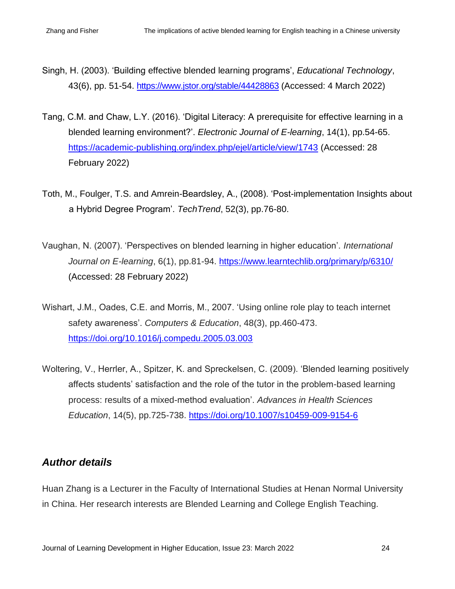- Singh, H. (2003). 'Building effective blended learning programs', *Educational Technology*, 43(6), pp. 51-54. <https://www.jstor.org/stable/44428863> (Accessed: 4 March 2022)
- Tang, C.M. and Chaw, L.Y. (2016). 'Digital Literacy: A prerequisite for effective learning in a blended learning environment?'. *Electronic Journal of E-learning*, 14(1), pp.54-65. <https://academic-publishing.org/index.php/ejel/article/view/1743> (Accessed: 28 February 2022)
- Toth, M., Foulger, T.S. and Amrein-Beardsley, A., (2008). 'Post-implementation Insights about a Hybrid Degree Program'. *TechTrend*, 52(3), pp.76-80.
- Vaughan, N. (2007). 'Perspectives on blended learning in higher education'. *International Journal on E-learning*, 6(1), pp.81-94. <https://www.learntechlib.org/primary/p/6310/> (Accessed: 28 February 2022)
- Wishart, J.M., Oades, C.E. and Morris, M., 2007. 'Using online role play to teach internet safety awareness'. *Computers & Education*, 48(3), pp.460-473. <https://doi.org/10.1016/j.compedu.2005.03.003>
- Woltering, V., Herrler, A., Spitzer, K. and Spreckelsen, C. (2009). 'Blended learning positively affects students' satisfaction and the role of the tutor in the problem-based learning process: results of a mixed-method evaluation'. *Advances in Health Sciences Education*, 14(5), pp.725-738.<https://doi.org/10.1007/s10459-009-9154-6>

## *Author details*

Huan Zhang is a Lecturer in the Faculty of International Studies at Henan Normal University in China. Her research interests are Blended Learning and College English Teaching.